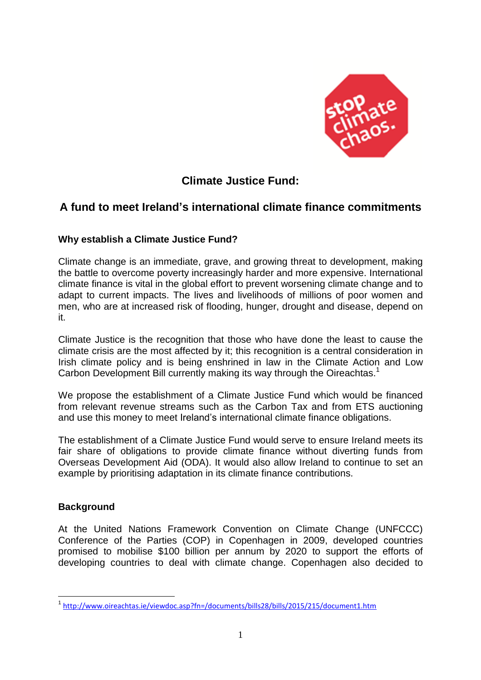

# **Climate Justice Fund:**

## **A fund to meet Ireland's international climate finance commitments**

## **Why establish a Climate Justice Fund?**

Climate change is an immediate, grave, and growing threat to development, making the battle to overcome poverty increasingly harder and more expensive. International climate finance is vital in the global effort to prevent worsening climate change and to adapt to current impacts. The lives and livelihoods of millions of poor women and men, who are at increased risk of flooding, hunger, drought and disease, depend on it.

Climate Justice is the recognition that those who have done the least to cause the climate crisis are the most affected by it; this recognition is a central consideration in Irish climate policy and is being enshrined in law in the Climate Action and Low Carbon Development Bill currently making its way through the Oireachtas.<sup>1</sup>

We propose the establishment of a Climate Justice Fund which would be financed from relevant revenue streams such as the Carbon Tax and from ETS auctioning and use this money to meet Ireland's international climate finance obligations.

The establishment of a Climate Justice Fund would serve to ensure Ireland meets its fair share of obligations to provide climate finance without diverting funds from Overseas Development Aid (ODA). It would also allow Ireland to continue to set an example by prioritising adaptation in its climate finance contributions.

## **Background**

 $\overline{a}$ 

At the United Nations Framework Convention on Climate Change (UNFCCC) Conference of the Parties (COP) in Copenhagen in 2009, developed countries promised to mobilise \$100 billion per annum by 2020 to support the efforts of developing countries to deal with climate change. Copenhagen also decided to

<sup>1</sup> <http://www.oireachtas.ie/viewdoc.asp?fn=/documents/bills28/bills/2015/215/document1.htm>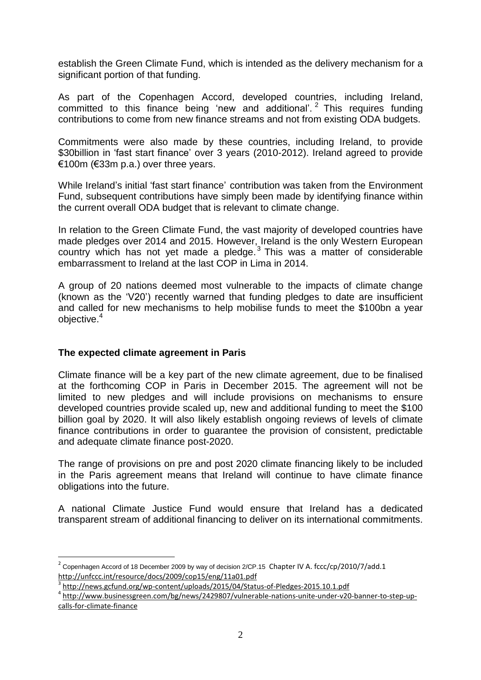establish the Green Climate Fund, which is intended as the delivery mechanism for a significant portion of that funding.

As part of the Copenhagen Accord, developed countries, including Ireland, committed to this finance being 'new and additional'. <sup>2</sup> This requires funding contributions to come from new finance streams and not from existing ODA budgets.

Commitments were also made by these countries, including Ireland, to provide \$30billion in 'fast start finance' over 3 years (2010-2012). Ireland agreed to provide €100m (€33m p.a.) over three years.

While Ireland's initial 'fast start finance' contribution was taken from the Environment Fund, subsequent contributions have simply been made by identifying finance within the current overall ODA budget that is relevant to climate change.

In relation to the Green Climate Fund, the vast majority of developed countries have made pledges over 2014 and 2015. However, Ireland is the only Western European country which has not yet made a pledge. $3$  This was a matter of considerable embarrassment to Ireland at the last COP in Lima in 2014.

A group of 20 nations deemed most vulnerable to the impacts of climate change (known as the 'V20') recently warned that funding pledges to date are insufficient and called for new mechanisms to help mobilise funds to meet the \$100bn a year objective. 4

#### **The expected climate agreement in Paris**

 $\overline{a}$ 

Climate finance will be a key part of the new climate agreement, due to be finalised at the forthcoming COP in Paris in December 2015. The agreement will not be limited to new pledges and will include provisions on mechanisms to ensure developed countries provide scaled up, new and additional funding to meet the \$100 billion goal by 2020. It will also likely establish ongoing reviews of levels of climate finance contributions in order to guarantee the provision of consistent, predictable and adequate climate finance post-2020.

The range of provisions on pre and post 2020 climate financing likely to be included in the Paris agreement means that Ireland will continue to have climate finance obligations into the future.

A national Climate Justice Fund would ensure that Ireland has a dedicated transparent stream of additional financing to deliver on its international commitments.

 $^{\text{2}}$  Copenhagen Accord of 18 December 2009 by way of decision 2/CP.15 Chapter IV A. fccc/cp/2010/7/add.1 <http://unfccc.int/resource/docs/2009/cop15/eng/11a01.pdf>

<sup>&</sup>lt;sup>3</sup> <http://news.gcfund.org/wp-content/uploads/2015/04/Status-of-Pledges-2015.10.1.pdf>

<sup>4</sup> [http://www.businessgreen.com/bg/news/2429807/vulnerable-nations-unite-under-v20-banner-to-step-up](http://www.businessgreen.com/bg/news/2429807/vulnerable-nations-unite-under-v20-banner-to-step-up-calls-for-climate-finance)[calls-for-climate-finance](http://www.businessgreen.com/bg/news/2429807/vulnerable-nations-unite-under-v20-banner-to-step-up-calls-for-climate-finance)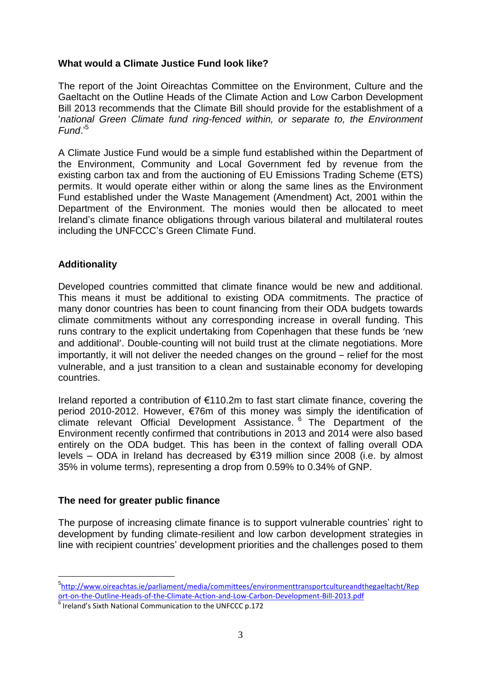## **What would a Climate Justice Fund look like?**

The report of the Joint Oireachtas Committee on the Environment, Culture and the Gaeltacht on the Outline Heads of the Climate Action and Low Carbon Development Bill 2013 recommends that the Climate Bill should provide for the establishment of a '*national Green Climate fund ring-fenced within, or separate to, the Environment Fund*.' 5

A Climate Justice Fund would be a simple fund established within the Department of the Environment, Community and Local Government fed by revenue from the existing carbon tax and from the auctioning of EU Emissions Trading Scheme (ETS) permits. It would operate either within or along the same lines as the Environment Fund established under the Waste Management (Amendment) Act, 2001 within the Department of the Environment. The monies would then be allocated to meet Ireland's climate finance obligations through various bilateral and multilateral routes including the UNFCCC's Green Climate Fund.

## **Additionality**

 $\overline{a}$ 

Developed countries committed that climate finance would be new and additional. This means it must be additional to existing ODA commitments. The practice of many donor countries has been to count financing from their ODA budgets towards climate commitments without any corresponding increase in overall funding. This runs contrary to the explicit undertaking from Copenhagen that these funds be 'new and additional'. Double-counting will not build trust at the climate negotiations. More importantly, it will not deliver the needed changes on the ground – relief for the most vulnerable, and a just transition to a clean and sustainable economy for developing countries.

Ireland reported a contribution of €110.2m to fast start climate finance, covering the period 2010-2012. However, €76m of this money was simply the identification of climate relevant Official Development Assistance. <sup>6</sup> The Department of the Environment recently confirmed that contributions in 2013 and 2014 were also based entirely on the ODA budget. This has been in the context of falling overall ODA levels – ODA in Ireland has decreased by €319 million since 2008 (i.e. by almost 35% in volume terms), representing a drop from 0.59% to 0.34% of GNP.

#### **The need for greater public finance**

The purpose of increasing climate finance is to support vulnerable countries' right to development by funding climate-resilient and low carbon development strategies in line with recipient countries' development priorities and the challenges posed to them

<sup>5</sup> [http://www.oireachtas.ie/parliament/media/committees/environmenttransportcultureandthegaeltacht/Rep](http://www.oireachtas.ie/parliament/media/committees/environmenttransportcultureandthegaeltacht/Report-on-the-Outline-Heads-of-the-Climate-Action-and-Low-Carbon-Development-Bill-2013.pdf) [ort-on-the-Outline-Heads-of-the-Climate-Action-and-Low-Carbon-Development-Bill-2013.pdf](http://www.oireachtas.ie/parliament/media/committees/environmenttransportcultureandthegaeltacht/Report-on-the-Outline-Heads-of-the-Climate-Action-and-Low-Carbon-Development-Bill-2013.pdf)

<sup>6</sup> Ireland's Sixth National Communication to the UNFCCC p.172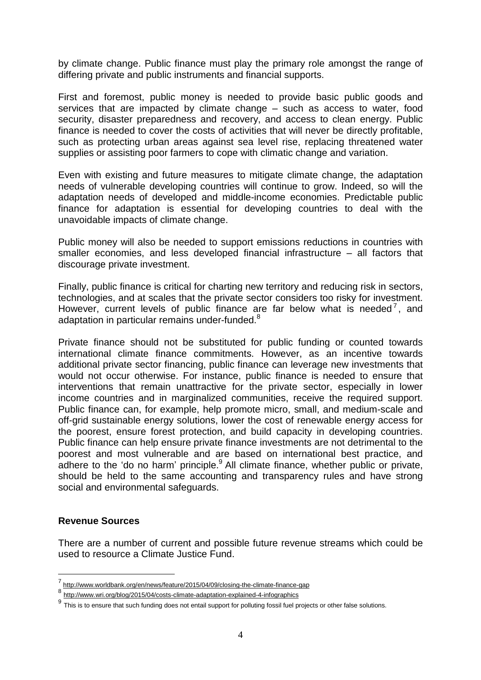by climate change. Public finance must play the primary role amongst the range of differing private and public instruments and financial supports.

First and foremost, public money is needed to provide basic public goods and services that are impacted by climate change – such as access to water, food security, disaster preparedness and recovery, and access to clean energy. Public finance is needed to cover the costs of activities that will never be directly profitable, such as protecting urban areas against sea level rise, replacing threatened water supplies or assisting poor farmers to cope with climatic change and variation.

Even with existing and future measures to mitigate climate change, the adaptation needs of vulnerable developing countries will continue to grow. Indeed, so will the adaptation needs of developed and middle-income economies. Predictable public finance for adaptation is essential for developing countries to deal with the unavoidable impacts of climate change.

Public money will also be needed to support emissions reductions in countries with smaller economies, and less developed financial infrastructure – all factors that discourage private investment.

Finally, public finance is critical for charting new territory and reducing risk in sectors, technologies, and at scales that the private sector considers too risky for investment. However, current levels of public finance are far below what is needed<sup>7</sup>, and adaptation in particular remains under-funded.<sup>8</sup>

Private finance should not be substituted for public funding or counted towards international climate finance commitments. However, as an incentive towards additional private sector financing, public finance can leverage new investments that would not occur otherwise. For instance, public finance is needed to ensure that interventions that remain unattractive for the private sector, especially in lower income countries and in marginalized communities, receive the required support. Public finance can, for example, help promote micro, small, and medium-scale and off-grid sustainable energy solutions, lower the cost of renewable energy access for the poorest, ensure forest protection, and build capacity in developing countries. Public finance can help ensure private finance investments are not detrimental to the poorest and most vulnerable and are based on international best practice, and adhere to the 'do no harm' principle.<sup>9</sup> All climate finance, whether public or private, should be held to the same accounting and transparency rules and have strong social and environmental safeguards.

#### **Revenue Sources**

 $\overline{a}$ 

There are a number of current and possible future revenue streams which could be used to resource a Climate Justice Fund.

<sup>7</sup> <http://www.worldbank.org/en/news/feature/2015/04/09/closing-the-climate-finance-gap>

<sup>8</sup> <http://www.wri.org/blog/2015/04/costs-climate-adaptation-explained-4-infographics>

 $^9$  This is to ensure that such funding does not entail support for polluting fossil fuel projects or other false solutions.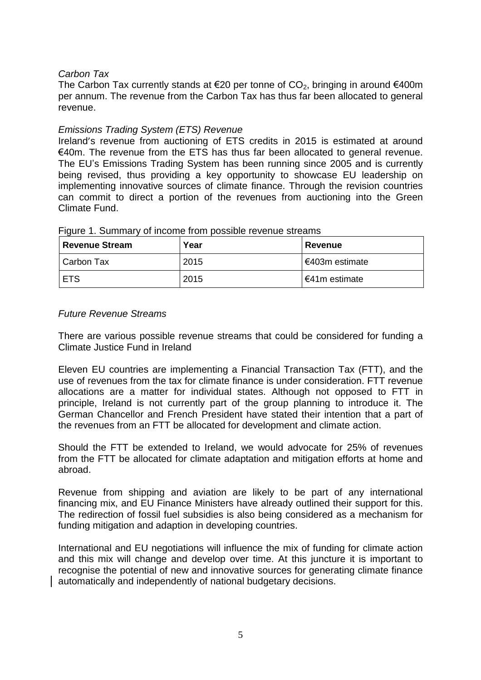## *Carbon Tax*

The Carbon Tax currently stands at €20 per tonne of  $CO_2$ , bringing in around €400m per annum. The revenue from the Carbon Tax has thus far been allocated to general revenue.

#### *Emissions Trading System (ETS) Revenue*

Ireland's revenue from auctioning of ETS credits in 2015 is estimated at around €40m. The revenue from the ETS has thus far been allocated to general revenue. The EU's Emissions Trading System has been running since 2005 and is currently being revised, thus providing a key opportunity to showcase EU leadership on implementing innovative sources of climate finance. Through the revision countries can commit to direct a portion of the revenues from auctioning into the Green Climate Fund.

| <b>Revenue Stream</b> | Year | <b>Revenue</b> |
|-----------------------|------|----------------|
| Carbon Tax            | 2015 | €403m estimate |
| <b>ETS</b>            | 2015 | F41m estimate  |

Figure 1. Summary of income from possible revenue streams

#### *Future Revenue Streams*

There are various possible revenue streams that could be considered for funding a Climate Justice Fund in Ireland

Eleven EU countries are implementing a Financial Transaction Tax (FTT), and the use of revenues from the tax for climate finance is under consideration. FTT revenue allocations are a matter for individual states. Although not opposed to FTT in principle, Ireland is not currently part of the group planning to introduce it. The German Chancellor and French President have stated their intention that a part of the revenues from an FTT be allocated for development and climate action.

Should the FTT be extended to Ireland, we would advocate for 25% of revenues from the FTT be allocated for climate adaptation and mitigation efforts at home and abroad.

Revenue from shipping and aviation are likely to be part of any international financing mix, and EU Finance Ministers have already outlined their support for this. The redirection of fossil fuel subsidies is also being considered as a mechanism for funding mitigation and adaption in developing countries.

International and EU negotiations will influence the mix of funding for climate action and this mix will change and develop over time. At this juncture it is important to recognise the potential of new and innovative sources for generating climate finance automatically and independently of national budgetary decisions.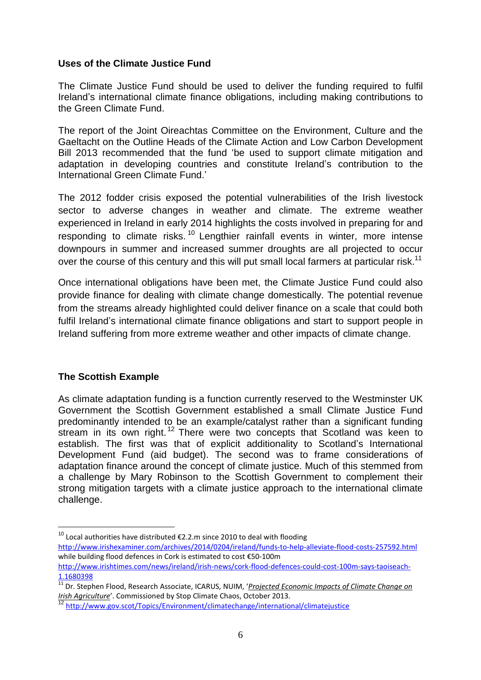#### **Uses of the Climate Justice Fund**

The Climate Justice Fund should be used to deliver the funding required to fulfil Ireland's international climate finance obligations, including making contributions to the Green Climate Fund.

The report of the Joint Oireachtas Committee on the Environment, Culture and the Gaeltacht on the Outline Heads of the Climate Action and Low Carbon Development Bill 2013 recommended that the fund 'be used to support climate mitigation and adaptation in developing countries and constitute Ireland's contribution to the International Green Climate Fund.'

The 2012 fodder crisis exposed the potential vulnerabilities of the Irish livestock sector to adverse changes in weather and climate. The extreme weather experienced in Ireland in early 2014 highlights the costs involved in preparing for and responding to climate risks.<sup>10</sup> Lengthier rainfall events in winter, more intense downpours in summer and increased summer droughts are all projected to occur over the course of this century and this will put small local farmers at particular risk.<sup>11</sup>

Once international obligations have been met, the Climate Justice Fund could also provide finance for dealing with climate change domestically. The potential revenue from the streams already highlighted could deliver finance on a scale that could both fulfil Ireland's international climate finance obligations and start to support people in Ireland suffering from more extreme weather and other impacts of climate change.

## **The Scottish Example**

 $\overline{a}$ 

As climate adaptation funding is a function currently reserved to the Westminster UK Government the Scottish Government established a small Climate Justice Fund predominantly intended to be an example/catalyst rather than a significant funding stream in its own right.<sup>12</sup> There were two concepts that Scotland was keen to establish. The first was that of explicit additionality to Scotland's International Development Fund (aid budget). The second was to frame considerations of adaptation finance around the concept of climate justice. Much of this stemmed from a challenge by Mary Robinson to the Scottish Government to complement their strong mitigation targets with a climate justice approach to the international climate challenge.

<sup>&</sup>lt;sup>10</sup> Local authorities have distributed €2.2.m since 2010 to deal with flooding <http://www.irishexaminer.com/archives/2014/0204/ireland/funds-to-help-alleviate-flood-costs-257592.html> while building flood defences in Cork is estimated to cost €50-100m

[http://www.irishtimes.com/news/ireland/irish-news/cork-flood-defences-could-cost-100m-says-taoiseach-](http://www.irishtimes.com/news/ireland/irish-news/cork-flood-defences-could-cost-100m-says-taoiseach-1.1680398)[1.1680398](http://www.irishtimes.com/news/ireland/irish-news/cork-flood-defences-could-cost-100m-says-taoiseach-1.1680398)

<sup>11</sup> Dr. Stephen Flood, Research Associate, ICARUS, NUIM, '*Projected [Economic](http://www.stopclimatechaos.ie/download/pdf/projected_economic_impacts_of_climate_change_on_irish_agriculture_oct_2013.pdf) Impacts of Climate Change on Irish [Agriculture](http://www.stopclimatechaos.ie/download/pdf/projected_economic_impacts_of_climate_change_on_irish_agriculture_oct_2013.pdf)*'. Commissioned by Stop Climate Chaos, October 2013.

<sup>12</sup> <http://www.gov.scot/Topics/Environment/climatechange/international/climatejustice>